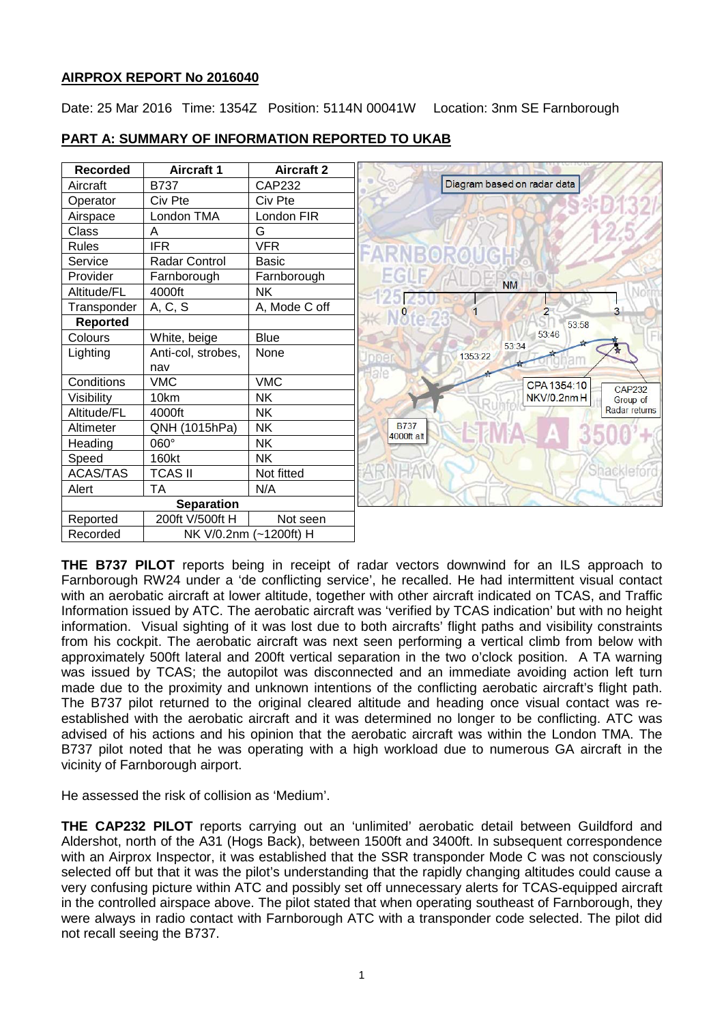# **AIRPROX REPORT No 2016040**

Date: 25 Mar 2016 Time: 1354Z Position: 5114N 00041W Location: 3nm SE Farnborough



# **PART A: SUMMARY OF INFORMATION REPORTED TO UKAB**

**THE B737 PILOT** reports being in receipt of radar vectors downwind for an ILS approach to Farnborough RW24 under a 'de conflicting service', he recalled. He had intermittent visual contact with an aerobatic aircraft at lower altitude, together with other aircraft indicated on TCAS, and Traffic Information issued by ATC. The aerobatic aircraft was 'verified by TCAS indication' but with no height information. Visual sighting of it was lost due to both aircrafts' flight paths and visibility constraints from his cockpit. The aerobatic aircraft was next seen performing a vertical climb from below with approximately 500ft lateral and 200ft vertical separation in the two o'clock position. A TA warning was issued by TCAS; the autopilot was disconnected and an immediate avoiding action left turn made due to the proximity and unknown intentions of the conflicting aerobatic aircraft's flight path. The B737 pilot returned to the original cleared altitude and heading once visual contact was reestablished with the aerobatic aircraft and it was determined no longer to be conflicting. ATC was advised of his actions and his opinion that the aerobatic aircraft was within the London TMA. The B737 pilot noted that he was operating with a high workload due to numerous GA aircraft in the vicinity of Farnborough airport.

He assessed the risk of collision as 'Medium'.

**THE CAP232 PILOT** reports carrying out an 'unlimited' aerobatic detail between Guildford and Aldershot, north of the A31 (Hogs Back), between 1500ft and 3400ft. In subsequent correspondence with an Airprox Inspector, it was established that the SSR transponder Mode C was not consciously selected off but that it was the pilot's understanding that the rapidly changing altitudes could cause a very confusing picture within ATC and possibly set off unnecessary alerts for TCAS-equipped aircraft in the controlled airspace above. The pilot stated that when operating southeast of Farnborough, they were always in radio contact with Farnborough ATC with a transponder code selected. The pilot did not recall seeing the B737.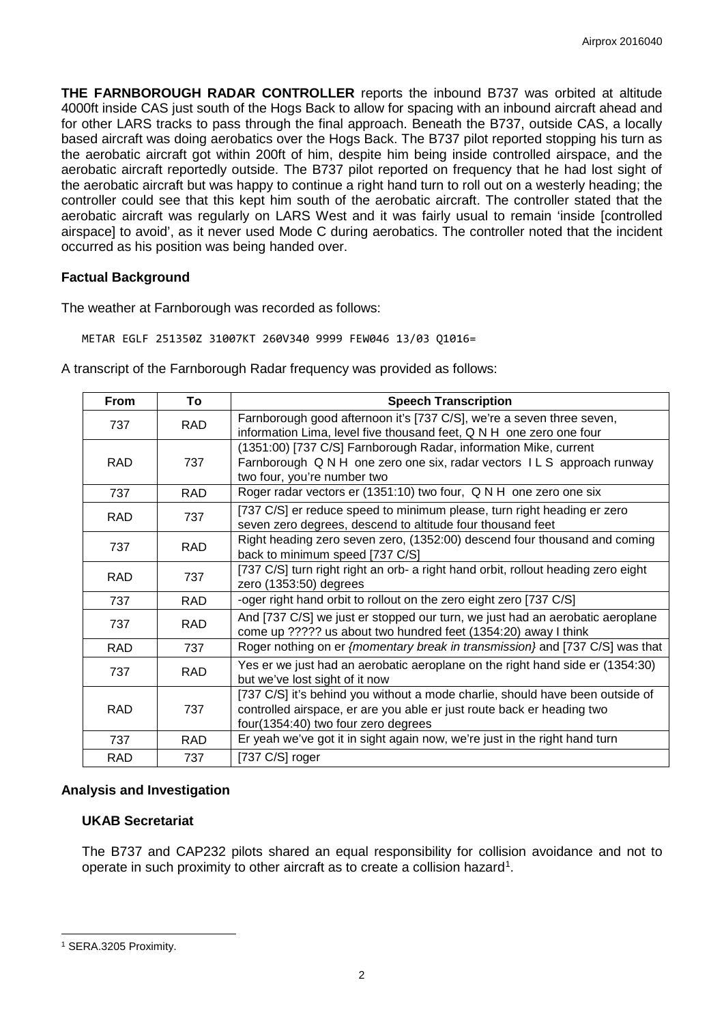**THE FARNBOROUGH RADAR CONTROLLER** reports the inbound B737 was orbited at altitude 4000ft inside CAS just south of the Hogs Back to allow for spacing with an inbound aircraft ahead and for other LARS tracks to pass through the final approach. Beneath the B737, outside CAS, a locally based aircraft was doing aerobatics over the Hogs Back. The B737 pilot reported stopping his turn as the aerobatic aircraft got within 200ft of him, despite him being inside controlled airspace, and the aerobatic aircraft reportedly outside. The B737 pilot reported on frequency that he had lost sight of the aerobatic aircraft but was happy to continue a right hand turn to roll out on a westerly heading; the controller could see that this kept him south of the aerobatic aircraft. The controller stated that the aerobatic aircraft was regularly on LARS West and it was fairly usual to remain 'inside [controlled airspace] to avoid', as it never used Mode C during aerobatics. The controller noted that the incident occurred as his position was being handed over.

### **Factual Background**

The weather at Farnborough was recorded as follows:

METAR EGLF 251350Z 31007KT 260V340 9999 FEW046 13/03 Q1016=

A transcript of the Farnborough Radar frequency was provided as follows:

| <b>From</b> | To         | <b>Speech Transcription</b>                                                                                                                                                                    |
|-------------|------------|------------------------------------------------------------------------------------------------------------------------------------------------------------------------------------------------|
| 737         | <b>RAD</b> | Farnborough good afternoon it's [737 C/S], we're a seven three seven,<br>information Lima, level five thousand feet, Q N H one zero one four                                                   |
| <b>RAD</b>  | 737        | (1351:00) [737 C/S] Farnborough Radar, information Mike, current<br>Farnborough Q N H one zero one six, radar vectors I L S approach runway<br>two four, you're number two                     |
| 737         | <b>RAD</b> | Roger radar vectors er (1351:10) two four, Q N H one zero one six                                                                                                                              |
| <b>RAD</b>  | 737        | [737 C/S] er reduce speed to minimum please, turn right heading er zero<br>seven zero degrees, descend to altitude four thousand feet                                                          |
| 737         | <b>RAD</b> | Right heading zero seven zero, (1352:00) descend four thousand and coming<br>back to minimum speed [737 C/S]                                                                                   |
| <b>RAD</b>  | 737        | [737 C/S] turn right right an orb- a right hand orbit, rollout heading zero eight<br>zero (1353:50) degrees                                                                                    |
| 737         | <b>RAD</b> | -oger right hand orbit to rollout on the zero eight zero [737 C/S]                                                                                                                             |
| 737         | <b>RAD</b> | And [737 C/S] we just er stopped our turn, we just had an aerobatic aeroplane<br>come up ????? us about two hundred feet (1354:20) away I think                                                |
| <b>RAD</b>  | 737        | Roger nothing on er {momentary break in transmission} and [737 C/S] was that                                                                                                                   |
| 737         | <b>RAD</b> | Yes er we just had an aerobatic aeroplane on the right hand side er (1354:30)<br>but we've lost sight of it now                                                                                |
| <b>RAD</b>  | 737        | [737 C/S] it's behind you without a mode charlie, should have been outside of<br>controlled airspace, er are you able er just route back er heading two<br>four(1354:40) two four zero degrees |
| 737         | <b>RAD</b> | Er yeah we've got it in sight again now, we're just in the right hand turn                                                                                                                     |
| <b>RAD</b>  | 737        | [ $737 C/S$ ] roger                                                                                                                                                                            |

#### **Analysis and Investigation**

# **UKAB Secretariat**

The B737 and CAP232 pilots shared an equal responsibility for collision avoidance and not to operate in such proximity to other aircraft as to create a collision hazard<sup>[1](#page-1-0)</sup>.

 $\overline{\phantom{a}}$ 

<span id="page-1-0"></span><sup>1</sup> SERA.3205 Proximity.